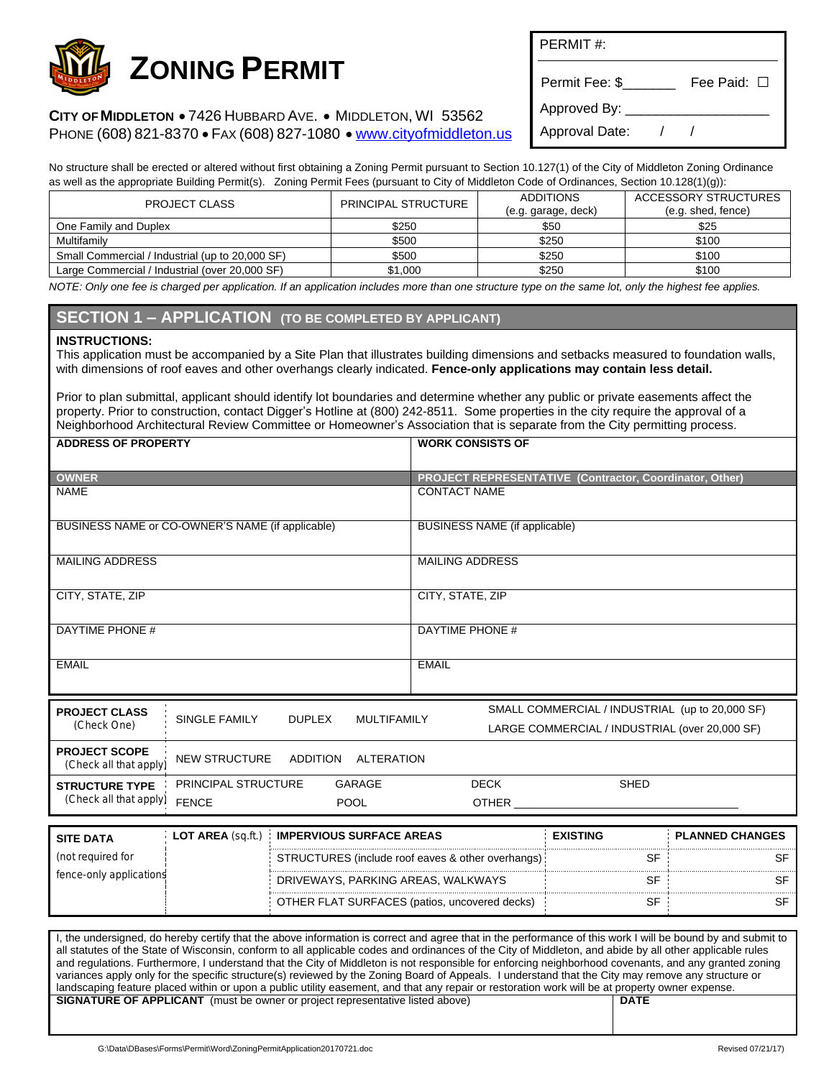

**CITY OF MIDDLETON** · 7426 HUBBARD AVE. · MIDDLETON, WI 53562 PHONE (608) 821-8370 · FAX (608) 827-1080 · [www.cityofmiddleton.us](http://www.cityofmiddleton.us)

PERMIT #:

Permit Fee: \$\_\_\_\_\_\_\_\_ Fee Paid: □

Approved By:

Approval Date: / /

No structure shall be erected or altered without first obtaining a Zoning Permit pursuant to Section 10.127(1) of the City of Middleton Zoning Ordinance as well as the appropriate Building Permit(s). Zoning Permit Fees (pursuant to City of Middleton Code of Ordinances, Section 10.128(1)(g)): PROJECT CLASS PRINCIPAL STRUCTURE ADDITIONS (e.g. garage, deck) ACCESSORY STRUCTURES  $(9n \text{ shed } \text{fence})$ 

|                                                 |         | (c.y. yarayo, uoun) | (0.4.3100, 10100) |
|-------------------------------------------------|---------|---------------------|-------------------|
| One Family and Duplex                           | \$250   | \$50                | \$25              |
| Multifamily                                     | \$500   | \$250               | \$100             |
| Small Commercial / Industrial (up to 20,000 SF) | \$500   | \$250               | \$100             |
| Large Commercial / Industrial (over 20,000 SF)  | \$1.000 | \$250               | \$100             |

*NOTE: Only one fee is charged per application. If an application includes more than one structure type on the same lot, only the highest fee applies.*

## **SECTION 1 – APPLICATION (TO BE COMPLETED BY APPLICANT)**

## **INSTRUCTIONS:**

This application must be accompanied by a Site Plan that illustrates building dimensions and setbacks measured to foundation walls, with dimensions of roof eaves and other overhangs clearly indicated. **Fence-only applications may contain less detail.**

Prior to plan submittal, applicant should identify lot boundaries and determine whether any public or private easements affect the property. Prior to construction, contact Digger's Hotline at (800) 242-8511. Some properties in the city require the approval of a Neighborhood Architectural Review Committee or Homeowner's Association that is separate from the City permitting process.

| <b>ADDRESS OF PROPERTY</b>                       |                                                             |                                      |              | <b>WORK CONSISTS OF</b>                                                                           |                                                         |  |  |  |
|--------------------------------------------------|-------------------------------------------------------------|--------------------------------------|--------------|---------------------------------------------------------------------------------------------------|---------------------------------------------------------|--|--|--|
| <b>OWNER</b>                                     |                                                             |                                      |              |                                                                                                   | PROJECT REPRESENTATIVE (Contractor, Coordinator, Other) |  |  |  |
| <b>NAME</b>                                      |                                                             |                                      |              | <b>CONTACT NAME</b>                                                                               |                                                         |  |  |  |
| BUSINESS NAME or CO-OWNER'S NAME (if applicable) |                                                             |                                      |              | BUSINESS NAME (if applicable)                                                                     |                                                         |  |  |  |
| <b>MAILING ADDRESS</b>                           |                                                             |                                      |              | <b>MAILING ADDRESS</b>                                                                            |                                                         |  |  |  |
| CITY, STATE, ZIP                                 |                                                             |                                      |              | CITY, STATE, ZIP                                                                                  |                                                         |  |  |  |
| DAYTIME PHONE #                                  |                                                             |                                      |              | DAYTIME PHONE #                                                                                   |                                                         |  |  |  |
| <b>EMAIL</b>                                     |                                                             |                                      | <b>EMAIL</b> |                                                                                                   |                                                         |  |  |  |
| <b>PROJECT CLASS</b>                             | <b>SINGLE FAMILY</b><br><b>DUPLEX</b><br><b>MULTIFAMILY</b> |                                      |              | SMALL COMMERCIAL / INDUSTRIAL (up to 20,000 SF)<br>LARGE COMMERCIAL / INDUSTRIAL (over 20,000 SF) |                                                         |  |  |  |
| (Check One)                                      |                                                             |                                      |              |                                                                                                   |                                                         |  |  |  |
| <b>PROJECT SCOPE</b><br>(Check all that apply)   | <b>NEW STRUCTURE</b>                                        | <b>ADDITION</b><br><b>ALTERATION</b> |              |                                                                                                   |                                                         |  |  |  |
| <b>STRUCTURE TYPE</b>                            | PRINCIPAL STRUCTURE                                         | <b>GARAGE</b>                        |              | <b>DECK</b>                                                                                       | <b>SHED</b>                                             |  |  |  |
| (Check all that apply)                           | <b>FENCE</b>                                                | <b>POOL</b>                          |              | <b>OTHER</b>                                                                                      |                                                         |  |  |  |

| <b>SITE DATA</b>        | <b>LOT AREA</b> (sq.ft.) | <b>IMPERVIOUS SURFACE AREAS</b>                   | <b>EXISTING</b> | <b>PLANNED CHANGES</b> |
|-------------------------|--------------------------|---------------------------------------------------|-----------------|------------------------|
| (not required for       |                          | STRUCTURES (include roof eaves & other overhangs) |                 |                        |
| fence-only applications |                          | DRIVEWAYS, PARKING AREAS, WALKWAYS                |                 |                        |
|                         |                          | OTHER FLAT SURFACES (patios, uncovered decks)     | ১৮              |                        |

I, the undersigned, do hereby certify that the above information is correct and agree that in the performance of this work I will be bound by and submit to all statutes of the State of Wisconsin, conform to all applicable codes and ordinances of the City of Middleton, and abide by all other applicable rules and regulations. Furthermore, I understand that the City of Middleton is not responsible for enforcing neighborhood covenants, and any granted zoning variances apply only for the specific structure(s) reviewed by the Zoning Board of Appeals. I understand that the City may remove any structure or landscaping feature placed within or upon a public utility easement, and that any repair or restoration work will be at property owner expense. **SIGNATURE OF APPLICANT** (must be owner or project representative listed above) **DATE** 

G:\Data\DBases\Forms\Permit\Word\ZoningPermitApplication20170721.doc Revised 07/21/17)